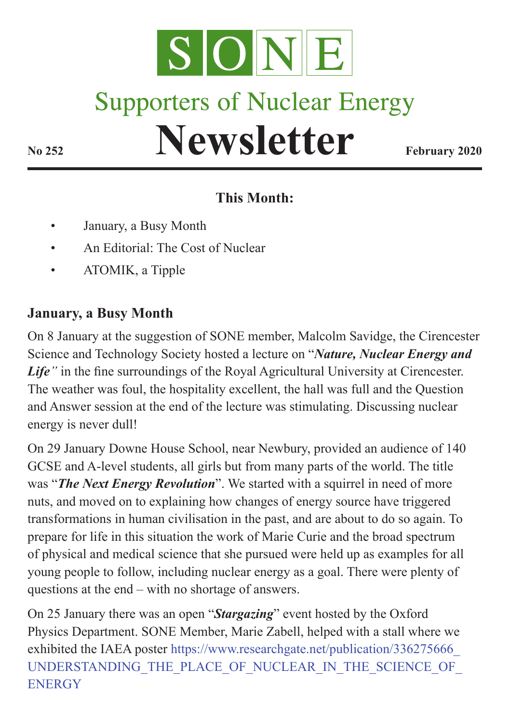

# **Supporters of Nuclear Energy**

# **Newsletter February 2020**

### **This Month:**

- January, a Busy Month
- An Editorial: The Cost of Nuclear
- ATOMIK, a Tipple

## **January, a Busy Month**

On 8 January at the suggestion of SONE member, Malcolm Savidge, the Cirencester Science and Technology Society hosted a lecture on "*Nature, Nuclear Energy and Life"* in the fine surroundings of the Royal Agricultural University at Cirencester. The weather was foul, the hospitality excellent, the hall was full and the Question and Answer session at the end of the lecture was stimulating. Discussing nuclear energy is never dull!

On 29 January Downe House School, near Newbury, provided an audience of 140 GCSE and A-level students, all girls but from many parts of the world. The title was "*The Next Energy Revolution*". We started with a squirrel in need of more nuts, and moved on to explaining how changes of energy source have triggered transformations in human civilisation in the past, and are about to do so again. To prepare for life in this situation the work of Marie Curie and the broad spectrum of physical and medical science that she pursued were held up as examples for all young people to follow, including nuclear energy as a goal. There were plenty of questions at the end – with no shortage of answers.

On 25 January there was an open "*Stargazing*" event hosted by the Oxford Physics Department. SONE Member, Marie Zabell, helped with a stall where we exhibited the IAEA poster [https://www.researchgate.net/publication/336275666\\_](https://www.researchgate.net/publication/336275666_UNDERSTANDING_THE_PLACE_OF_NUCLEAR_IN_THE_SCIENCE_OF_ENERGY) UNDERSTANDING THE PLACE OF NUCLEAR IN THE SCIENCE OF **[ENERGY](https://www.researchgate.net/publication/336275666_UNDERSTANDING_THE_PLACE_OF_NUCLEAR_IN_THE_SCIENCE_OF_ENERGY)**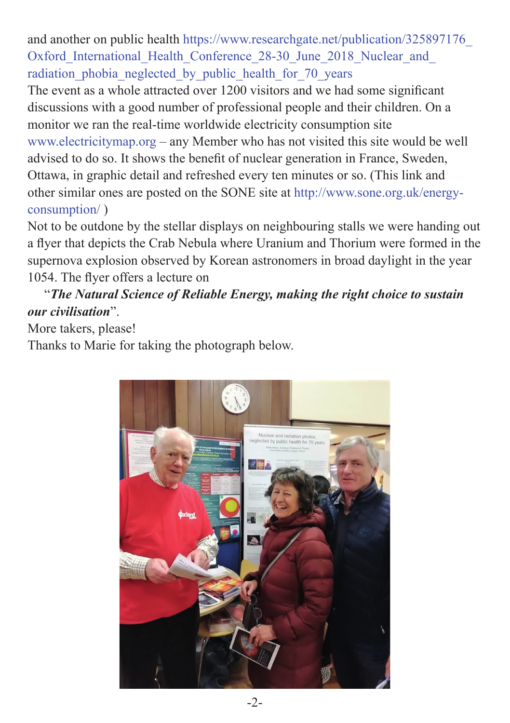and another on public health [https://www.researchgate.net/publication/325897176\\_](https://www.researchgate.net/publication/325897176_Oxford_International_Health_Conference_28-30_June_2018_Nuclear_and_radiation_phobia_neglected_by_public_health_for_70_years) Oxford International Health Conference 28-30 June 2018 Nuclear and radiation phobia neglected by public health for 70 years

The event as a whole attracted over 1200 visitors and we had some significant discussions with a good number of professional people and their children. On a monitor we ran the real-time worldwide electricity consumption site [www.electricitymap.org](http://www.electricitymap.org) – any Member who has not visited this site would be well advised to do so. It shows the benefit of nuclear generation in France, Sweden, Ottawa, in graphic detail and refreshed every ten minutes or so. (This link and other similar ones are posted on the SONE site at [http://www.sone.org.uk/energy](http://www.sone.org.uk/energy-consumption/)[consumption/](http://www.sone.org.uk/energy-consumption/) )

Not to be outdone by the stellar displays on neighbouring stalls we were handing out a flyer that depicts the Crab Nebula where Uranium and Thorium were formed in the supernova explosion observed by Korean astronomers in broad daylight in the year 1054. The flyer offers a lecture on

#### "*The Natural Science of Reliable Energy, making the right choice to sustain our civilisation*".

More takers, please!

Thanks to Marie for taking the photograph below.

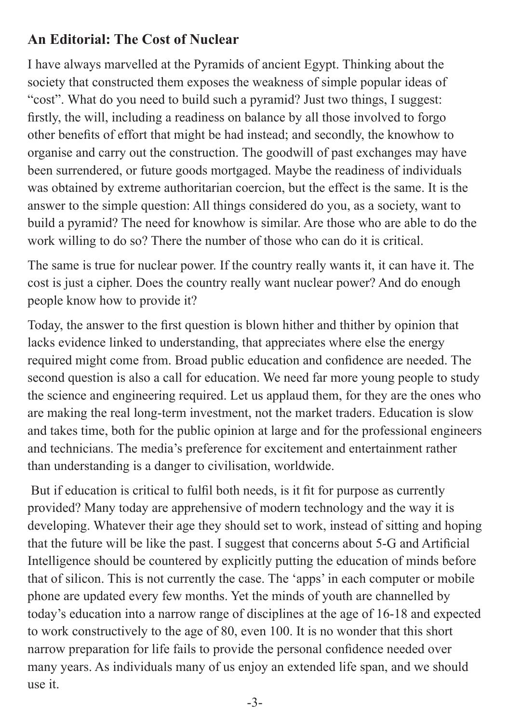#### **An Editorial: The Cost of Nuclear**

I have always marvelled at the Pyramids of ancient Egypt. Thinking about the society that constructed them exposes the weakness of simple popular ideas of "cost". What do you need to build such a pyramid? Just two things, I suggest: firstly, the will, including a readiness on balance by all those involved to forgo other benefits of effort that might be had instead; and secondly, the knowhow to organise and carry out the construction. The goodwill of past exchanges may have been surrendered, or future goods mortgaged. Maybe the readiness of individuals was obtained by extreme authoritarian coercion, but the effect is the same. It is the answer to the simple question: All things considered do you, as a society, want to build a pyramid? The need for knowhow is similar. Are those who are able to do the work willing to do so? There the number of those who can do it is critical.

The same is true for nuclear power. If the country really wants it, it can have it. The cost is just a cipher. Does the country really want nuclear power? And do enough people know how to provide it?

Today, the answer to the first question is blown hither and thither by opinion that lacks evidence linked to understanding, that appreciates where else the energy required might come from. Broad public education and confidence are needed. The second question is also a call for education. We need far more young people to study the science and engineering required. Let us applaud them, for they are the ones who are making the real long-term investment, not the market traders. Education is slow and takes time, both for the public opinion at large and for the professional engineers and technicians. The media's preference for excitement and entertainment rather than understanding is a danger to civilisation, worldwide.

 But if education is critical to fulfil both needs, is it fit for purpose as currently provided? Many today are apprehensive of modern technology and the way it is developing. Whatever their age they should set to work, instead of sitting and hoping that the future will be like the past. I suggest that concerns about 5-G and Artificial Intelligence should be countered by explicitly putting the education of minds before that of silicon. This is not currently the case. The 'apps' in each computer or mobile phone are updated every few months. Yet the minds of youth are channelled by today's education into a narrow range of disciplines at the age of 16-18 and expected to work constructively to the age of 80, even 100. It is no wonder that this short narrow preparation for life fails to provide the personal confidence needed over many years. As individuals many of us enjoy an extended life span, and we should use it.